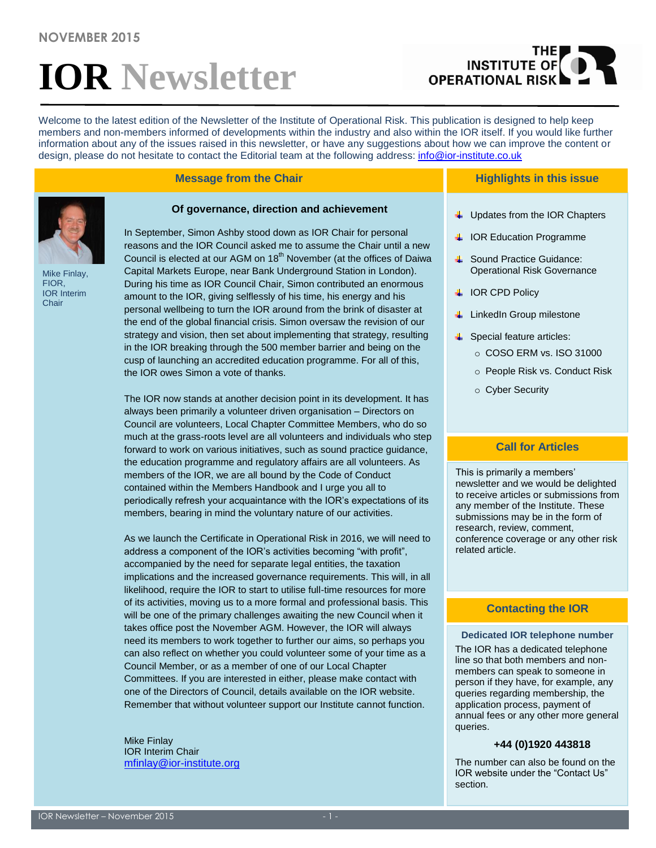# **IOR Newsletter**

## THE **OPERATIONAL RISK**

Welcome to the latest edition of the Newsletter of the Institute of Operational Risk. This publication is designed to help keep members and non-members informed of developments within the industry and also within the IOR itself. If you would like further information about any of the issues raised in this newsletter, or have any suggestions about how we can improve the content or design, please do not hesitate to contact the Editorial team at the following address: [info@ior-institute.co.uk](mailto:info@ior-institute.co.uk)

#### **Message from the Chair**



Mike Finlay, FIOR, IOR Interim Chair

In September, Simon Ashby stood down as IOR Chair for personal reasons and the IOR Council asked me to assume the Chair until a new Council is elected at our AGM on 18<sup>th</sup> November (at the offices of Daiwa Capital Markets Europe, near Bank Underground Station in London). During his time as IOR Council Chair, Simon contributed an enormous amount to the IOR, giving selflessly of his time, his energy and his personal wellbeing to turn the IOR around from the brink of disaster at the end of the global financial crisis. Simon oversaw the revision of our strategy and vision, then set about implementing that strategy, resulting in the IOR breaking through the 500 member barrier and being on the cusp of launching an accredited education programme. For all of this, the IOR owes Simon a vote of thanks.

**Of governance, direction and achievement**

The IOR now stands at another decision point in its development. It has always been primarily a volunteer driven organisation – Directors on Council are volunteers, Local Chapter Committee Members, who do so much at the grass-roots level are all volunteers and individuals who step forward to work on various initiatives, such as sound practice guidance, the education programme and regulatory affairs are all volunteers. As members of the IOR, we are all bound by the Code of Conduct contained within the Members Handbook and I urge you all to periodically refresh your acquaintance with the IOR's expectations of its members, bearing in mind the voluntary nature of our activities.

As we launch the Certificate in Operational Risk in 2016, we will need to address a component of the IOR's activities becoming "with profit", accompanied by the need for separate legal entities, the taxation implications and the increased governance requirements. This will, in all likelihood, require the IOR to start to utilise full-time resources for more of its activities, moving us to a more formal and professional basis. This will be one of the primary challenges awaiting the new Council when it takes office post the November AGM. However, the IOR will always need its members to work together to further our aims, so perhaps you can also reflect on whether you could volunteer some of your time as a Council Member, or as a member of one of our Local Chapter Committees. If you are interested in either, please make contact with one of the Directors of Council, details available on the IOR website. Remember that without volunteer support our Institute cannot function.

Mike Finlay IOR Interim Chair [mfinlay@ior-institute.org](mailto:mfinlay@ior-institute.org)

#### **Highlights in this issue**

- $\downarrow$  Updates from the IOR Chapters
- **↓ IOR Education Programme**
- **↓** Sound Practice Guidance: Operational Risk Governance
- **↓ IOR CPD Policy**
- **↓** LinkedIn Group milestone
- $\leftarrow$  Special feature articles:
	- o COSO ERM vs. ISO 31000
	- o People Risk vs. Conduct Risk
	- o Cyber Security

#### **Call for Articles**

This is primarily a members' newsletter and we would be delighted to receive articles or submissions from any member of the Institute. These submissions may be in the form of research, review, comment, conference coverage or any other risk related article.

#### **Contacting the IOR**

#### **Dedicated IOR telephone number**

The IOR has a dedicated telephone line so that both members and nonmembers can speak to someone in person if they have, for example, any queries regarding membership, the application process, payment of annual fees or any other more general queries.

#### **+44 (0)1920 443818**

The number can also be found on the IOR website under the "Contact Us" section.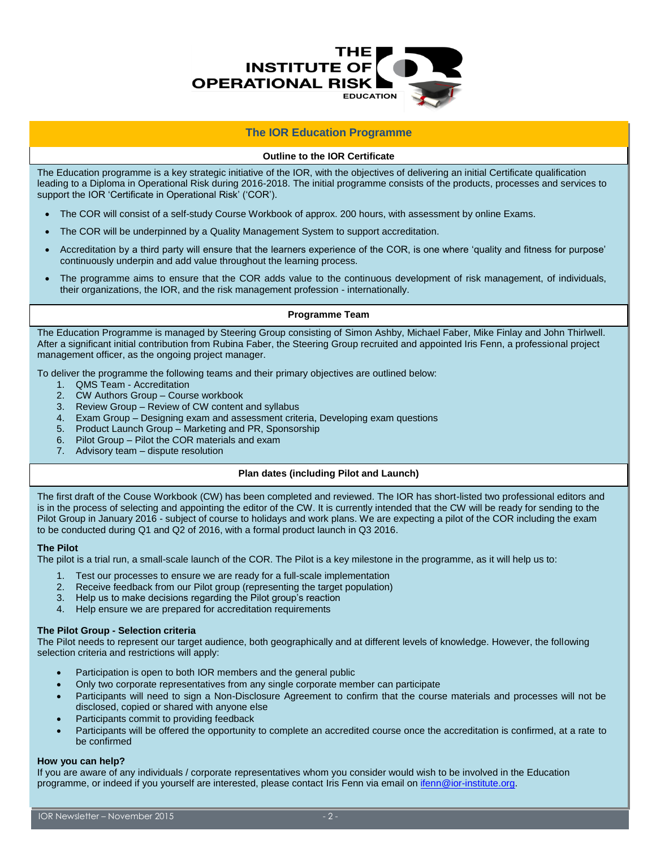

#### **The IOR Education Programme**

#### **Outline to the IOR Certificate**

The Education programme is a key strategic initiative of the IOR, with the objectives of delivering an initial Certificate qualification leading to a Diploma in Operational Risk during 2016-2018. The initial programme consists of the products, processes and services to support the IOR 'Certificate in Operational Risk' ('COR').

- The COR will consist of a self-study Course Workbook of approx. 200 hours, with assessment by online Exams.
- The COR will be underpinned by a Quality Management System to support accreditation.
- Accreditation by a third party will ensure that the learners experience of the COR, is one where 'quality and fitness for purpose' continuously underpin and add value throughout the learning process.
- The programme aims to ensure that the COR adds value to the continuous development of risk management, of individuals, their organizations, the IOR, and the risk management profession - internationally.

#### **Programme Team**

The Education Programme is managed by Steering Group consisting of Simon Ashby, Michael Faber, Mike Finlay and John Thirlwell. After a significant initial contribution from Rubina Faber, the Steering Group recruited and appointed Iris Fenn, a professional project management officer, as the ongoing project manager.

To deliver the programme the following teams and their primary objectives are outlined below:

- 1. QMS Team Accreditation
- 2. CW Authors Group Course workbook
- 3. Review Group Review of CW content and syllabus
- 4. Exam Group Designing exam and assessment criteria, Developing exam questions
- 5. Product Launch Group Marketing and PR, Sponsorship
- 6. Pilot Group Pilot the COR materials and exam
- 7. Advisory team dispute resolution

#### **Plan dates (including Pilot and Launch)**

The first draft of the Couse Workbook (CW) has been completed and reviewed. The IOR has short-listed two professional editors and is in the process of selecting and appointing the editor of the CW. It is currently intended that the CW will be ready for sending to the Pilot Group in January 2016 - subject of course to holidays and work plans. We are expecting a pilot of the COR including the exam to be conducted during Q1 and Q2 of 2016, with a formal product launch in Q3 2016.

#### **The Pilot**

The pilot is a trial run, a small-scale launch of the COR. The Pilot is a key milestone in the programme, as it will help us to:

- 1. Test our processes to ensure we are ready for a full-scale implementation
- 2. Receive feedback from our Pilot group (representing the target population)
- 3. Help us to make decisions regarding the Pilot group's reaction
- 4. Help ensure we are prepared for accreditation requirements

#### **The Pilot Group - Selection criteria**

The Pilot needs to represent our target audience, both geographically and at different levels of knowledge. However, the following selection criteria and restrictions will apply:

- Participation is open to both IOR members and the general public
- Only two corporate representatives from any single corporate member can participate
- Participants will need to sign a Non-Disclosure Agreement to confirm that the course materials and processes will not be disclosed, copied or shared with anyone else
- Participants commit to providing feedback
- Participants will be offered the opportunity to complete an accredited course once the accreditation is confirmed, at a rate to be confirmed

#### **How you can help?**

If you are aware of any individuals / corporate representatives whom you consider would wish to be involved in the Education programme, or indeed if you yourself are interested, please contact Iris Fenn via email o[n ifenn@ior-institute.org.](mailto:ifenn@ior-institute.org)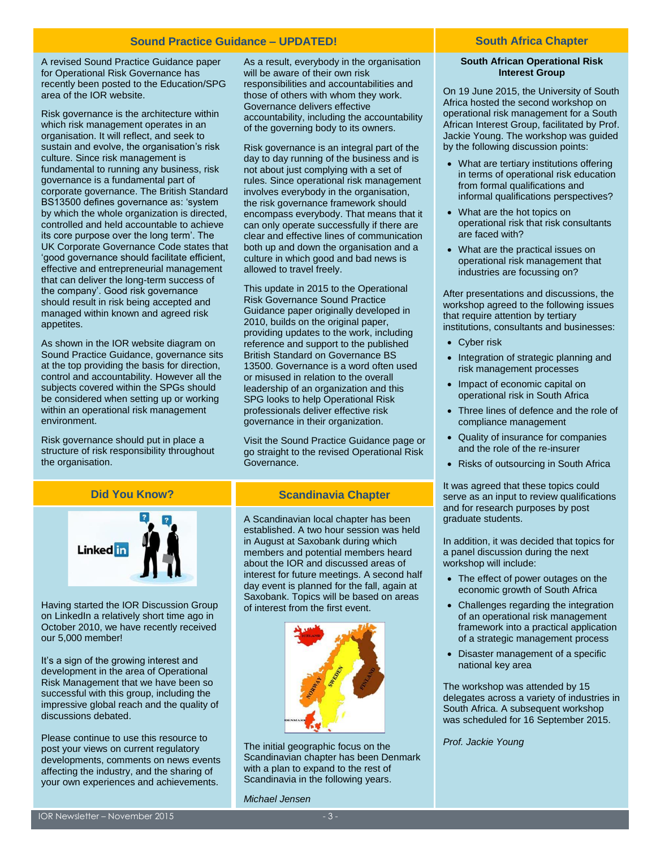#### **Sound Practice Guidance – UPDATED! South Africa Chapter**

A revised Sound Practice Guidance paper for Operational Risk Governance has recently been posted to the Education/SPG area of the IOR website.

Risk governance is the architecture within which risk management operates in an organisation. It will reflect, and seek to sustain and evolve, the organisation's risk culture. Since risk management is fundamental to running any business, risk governance is a fundamental part of corporate governance. The British Standard BS13500 defines governance as: 'system by which the whole organization is directed, controlled and held accountable to achieve its core purpose over the long term'. The UK Corporate Governance Code states that 'good governance should facilitate efficient, effective and entrepreneurial management that can deliver the long-term success of the company'. Good risk governance should result in risk being accepted and managed within known and agreed risk appetites.

As shown in the IOR website diagram on Sound Practice Guidance, governance sits at the top providing the basis for direction, control and accountability. However all the subjects covered within the SPGs should be considered when setting up or working within an operational risk management environment.

Risk governance should put in place a structure of risk responsibility throughout the organisation.

As a result, everybody in the organisation will be aware of their own risk responsibilities and accountabilities and those of others with whom they work. Governance delivers effective accountability, including the accountability of the governing body to its owners.

Risk governance is an integral part of the day to day running of the business and is not about just complying with a set of rules. Since operational risk management involves everybody in the organisation, the risk governance framework should encompass everybody. That means that it can only operate successfully if there are clear and effective lines of communication both up and down the organisation and a culture in which good and bad news is allowed to travel freely.

This update in 2015 to the Operational Risk Governance Sound Practice Guidance paper originally developed in 2010, builds on the original paper, providing updates to the work, including reference and support to the published British Standard on Governance BS 13500. Governance is a word often used or misused in relation to the overall leadership of an organization and this SPG looks to help Operational Risk professionals deliver effective risk governance in their organization.

Visit the [Sound Practice Guidance](https://www.ior-institute.org/sound-practice-guidance) page or go straight to the revised [Operational Risk](https://www.ior-institute.org/sound-practice-guidance/operational-risk-governance)  [Governance.](https://www.ior-institute.org/sound-practice-guidance/operational-risk-governance)



Having started the IOR Discussion Group on LinkedIn a relatively short time ago in October 2010, we have recently received our 5,000 member!

It's a sign of the growing interest and development in the area of Operational Risk Management that we have been so successful with this group, including the impressive global reach and the quality of discussions debated.

Please continue to use this resource to post your views on current regulatory developments, comments on news events affecting the industry, and the sharing of your own experiences and achievements.

#### **Scandinavia Chapter**

A Scandinavian local chapter has been established. A two hour session was held in August at Saxobank during which members and potential members heard about the IOR and discussed areas of interest for future meetings. A second half day event is planned for the fall, again at Saxobank. Topics will be based on areas of interest from the first event.



The initial geographic focus on the Scandinavian chapter has been Denmark with a plan to expand to the rest of Scandinavia in the following years.

*Michael Jensen*

#### **South African Operational Risk Interest Group**

On 19 June 2015, the University of South Africa hosted the second workshop on operational risk management for a South African Interest Group, facilitated by Prof. Jackie Young. The workshop was guided by the following discussion points:

- What are tertiary institutions offering in terms of operational risk education from formal qualifications and informal qualifications perspectives?
- What are the hot topics on operational risk that risk consultants are faced with?
- What are the practical issues on operational risk management that industries are focussing on?

After presentations and discussions, the workshop agreed to the following issues that require attention by tertiary institutions, consultants and businesses:

- Cyber risk
- Integration of strategic planning and risk management processes
- Impact of economic capital on operational risk in South Africa
- Three lines of defence and the role of compliance management
- Quality of insurance for companies and the role of the re-insurer
- Risks of outsourcing in South Africa

It was agreed that these topics could serve as an input to review qualifications and for research purposes by post graduate students.

In addition, it was decided that topics for a panel discussion during the next workshop will include:

- The effect of power outages on the economic growth of South Africa
- Challenges regarding the integration of an operational risk management framework into a practical application of a strategic management process
- Disaster management of a specific national key area

The workshop was attended by 15 delegates across a variety of industries in South Africa. A subsequent workshop was scheduled for 16 September 2015.

*Prof. Jackie Young*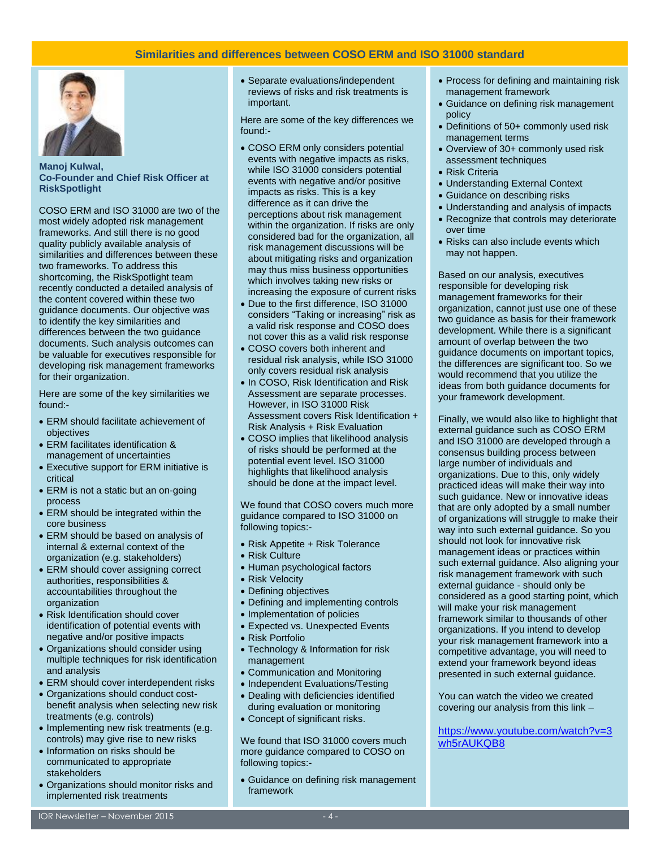#### **Similarities and differences between COSO ERM and ISO 31000 standard**



**Manoj Kulwal, Co-Founder and Chief Risk Officer at RiskSpotlight**

COSO ERM and ISO 31000 are two of the most widely adopted risk management frameworks. And still there is no good quality publicly available analysis of similarities and differences between these two frameworks. To address this shortcoming, the RiskSpotlight team recently conducted a detailed analysis of the content covered within these two guidance documents. Our objective was to identify the key similarities and differences between the two guidance documents. Such analysis outcomes can be valuable for executives responsible for developing risk management frameworks for their organization.

Here are some of the key similarities we found:-

- ERM should facilitate achievement of objectives
- ERM facilitates identification & management of uncertainties
- Executive support for ERM initiative is critical
- ERM is not a static but an on-going process
- ERM should be integrated within the core business
- ERM should be based on analysis of internal & external context of the organization (e.g. stakeholders)
- ERM should cover assigning correct authorities, responsibilities & accountabilities throughout the organization
- Risk Identification should cover identification of potential events with negative and/or positive impacts
- Organizations should consider using multiple techniques for risk identification and analysis
- ERM should cover interdependent risks
- Organizations should conduct costbenefit analysis when selecting new risk treatments (e.g. controls)
- Implementing new risk treatments (e.g. controls) may give rise to new risks
- Information on risks should be communicated to appropriate stakeholders
- Organizations should monitor risks and implemented risk treatments

 Separate evaluations/independent reviews of risks and risk treatments is important.

Here are some of the key differences we found:-

- COSO ERM only considers potential events with negative impacts as risks, while ISO 31000 considers potential events with negative and/or positive impacts as risks. This is a key difference as it can drive the perceptions about risk management within the organization. If risks are only considered bad for the organization, all risk management discussions will be about mitigating risks and organization may thus miss business opportunities which involves taking new risks or increasing the exposure of current risks
- Due to the first difference, ISO 31000 considers "Taking or increasing" risk as a valid risk response and COSO does not cover this as a valid risk response
- COSO covers both inherent and residual risk analysis, while ISO 31000 only covers residual risk analysis
- In COSO, Risk Identification and Risk Assessment are separate processes. However, in ISO 31000 Risk Assessment covers Risk Identification + Risk Analysis + Risk Evaluation
- COSO implies that likelihood analysis of risks should be performed at the potential event level. ISO 31000 highlights that likelihood analysis should be done at the impact level.

We found that COSO covers much more guidance compared to ISO 31000 on following topics:-

- Risk Appetite + Risk Tolerance
- Risk Culture
- Human psychological factors
- Risk Velocity
- Defining objectives
- Defining and implementing controls
- Implementation of policies
- Expected vs. Unexpected Events
- Risk Portfolio
- Technology & Information for risk management
- Communication and Monitoring
- Independent Evaluations/Testing
- Dealing with deficiencies identified during evaluation or monitoring
- Concept of significant risks.

We found that ISO 31000 covers much more guidance compared to COSO on following topics:-

 Guidance on defining risk management framework

- Process for defining and maintaining risk management framework
- Guidance on defining risk management policy
- Definitions of 50+ commonly used risk management terms
- Overview of 30+ commonly used risk assessment techniques
- Risk Criteria
- Understanding External Context
- Guidance on describing risks
- Understanding and analysis of impacts
- Recognize that controls may deteriorate over time
- Risks can also include events which may not happen.

Based on our analysis, executives responsible for developing risk management frameworks for their organization, cannot just use one of these two guidance as basis for their framework development. While there is a significant amount of overlap between the two guidance documents on important topics, the differences are significant too. So we would recommend that you utilize the ideas from both guidance documents for your framework development.

Finally, we would also like to highlight that external guidance such as COSO ERM and ISO 31000 are developed through a consensus building process between large number of individuals and organizations. Due to this, only widely practiced ideas will make their way into such guidance. New or innovative ideas that are only adopted by a small number of organizations will struggle to make their way into such external guidance. So you should not look for innovative risk management ideas or practices within such external guidance. Also aligning your risk management framework with such external guidance - should only be considered as a good starting point, which will make your risk management framework similar to thousands of other organizations. If you intend to develop your risk management framework into a competitive advantage, you will need to extend your framework beyond ideas presented in such external guidance.

You can watch the video we created covering our analysis from this link –

[https://www.youtube.com/watch?v=3](https://www.youtube.com/watch?v=3wh5rAUKQB8) [wh5rAUKQB8](https://www.youtube.com/watch?v=3wh5rAUKQB8)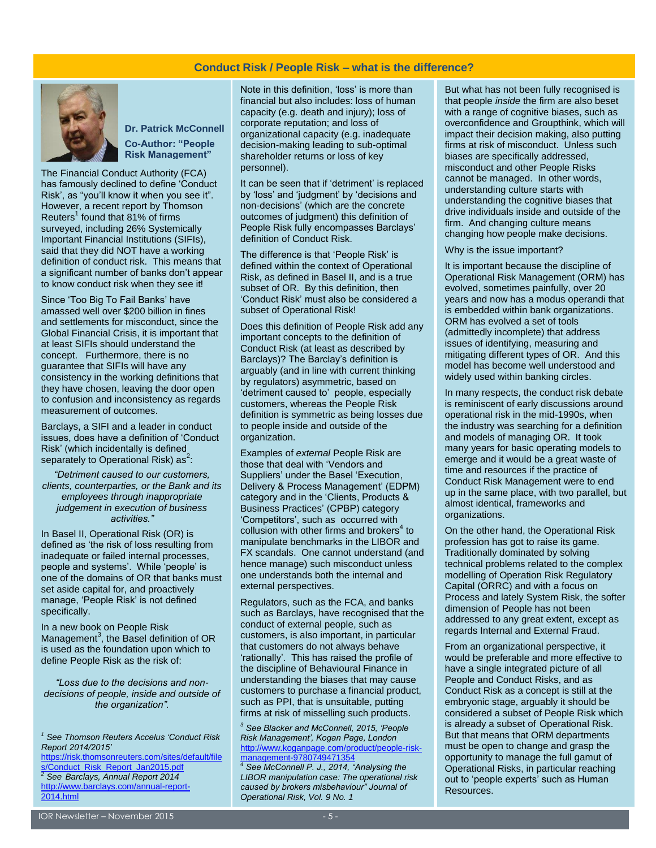#### **Conduct Risk / People Risk – what is the difference?**



**Dr. Patrick McConnell Co-Author: "People Risk Management"**

The Financial Conduct Authority (FCA) has famously declined to define 'Conduct Risk', as "you'll know it when you see it". However, a recent report by Thomson Reuters<sup>1</sup> found that  $81\%$  of firms surveyed, including 26% Systemically Important Financial Institutions (SIFIs), said that they did NOT have a working definition of conduct risk. This means that a significant number of banks don't appear to know conduct risk when they see it!

Since 'Too Big To Fail Banks' have amassed well over \$200 billion in fines and settlements for misconduct, since the Global Financial Crisis, it is important that at least SIFIs should understand the concept. Furthermore, there is no guarantee that SIFIs will have any consistency in the working definitions that they have chosen, leaving the door open to confusion and inconsistency as regards measurement of outcomes.

Barclays, a SIFI and a leader in conduct issues, does have a definition of 'Conduct Risk' (which incidentally is defined separately to Operational Risk) as<sup>2</sup>:

*"Detriment caused to our customers, clients, counterparties, or the Bank and its employees through inappropriate judgement in execution of business activities."*

In Basel II, Operational Risk (OR) is defined as 'the risk of loss resulting from inadequate or failed internal processes, people and systems'. While 'people' is one of the domains of OR that banks must set aside capital for, and proactively manage, 'People Risk' is not defined specifically.

In a new book on People Risk Management $3$ , the Basel definition of OR is used as the foundation upon which to define People Risk as the risk of:

*"Loss due to the decisions and nondecisions of people, inside and outside of the organization".*

[https://risk.thomsonreuters.com/sites/default/file](https://risk.thomsonreuters.com/sites/default/files/Conduct_Risk_Report_Jan2015.pdf) [s/Conduct\\_Risk\\_Report\\_Jan2015.pdf](https://risk.thomsonreuters.com/sites/default/files/Conduct_Risk_Report_Jan2015.pdf) *<sup>2</sup> See Barclays, Annual Report 2014*  [http://www.barclays.com/annual-report-](http://www.barclays.com/annual-report-2014.html)[2014.html](http://www.barclays.com/annual-report-2014.html)

Note in this definition, 'loss' is more than financial but also includes: loss of human capacity (e.g. death and injury); loss of corporate reputation; and loss of organizational capacity (e.g. inadequate decision-making leading to sub-optimal shareholder returns or loss of key personnel).

It can be seen that if 'detriment' is replaced by 'loss' and 'judgment' by 'decisions and non-decisions' (which are the concrete outcomes of judgment) this definition of People Risk fully encompasses Barclays' definition of Conduct Risk.

The difference is that 'People Risk' is defined within the context of Operational Risk, as defined in Basel II, and is a true subset of OR. By this definition, then 'Conduct Risk' must also be considered a subset of Operational Risk!

Does this definition of People Risk add any important concepts to the definition of Conduct Risk (at least as described by Barclays)? The Barclay's definition is arguably (and in line with current thinking by regulators) asymmetric, based on 'detriment caused to' people, especially customers, whereas the People Risk definition is symmetric as being losses due to people inside and outside of the organization.

Examples of *external* People Risk are those that deal with 'Vendors and Suppliers' under the Basel 'Execution, Delivery & Process Management' (EDPM) category and in the 'Clients, Products & Business Practices' (CPBP) category 'Competitors', such as occurred with  $collusion$  with other firms and brokers<sup>4</sup> to manipulate benchmarks in the LIBOR and FX scandals. One cannot understand (and hence manage) such misconduct unless one understands both the internal and external perspectives.

Regulators, such as the FCA, and banks such as Barclays, have recognised that the conduct of external people, such as customers, is also important, in particular that customers do not always behave 'rationally'. This has raised the profile of the discipline of Behavioural Finance in understanding the biases that may cause customers to purchase a financial product, such as PPI, that is unsuitable, putting firms at risk of misselling such products.

*<sup>3</sup> See Blacker and McConnell, 2015, 'People Risk Management', Kogan Page, London* [http://www.koganpage.com/product/people-risk](http://www.koganpage.com/product/people-risk-management-9780749471354)[management-9780749471354](http://www.koganpage.com/product/people-risk-management-9780749471354) *<sup>4</sup> See McConnell P. J., 2014, "Analysing the* 

*LIBOR manipulation case: The operational risk caused by brokers misbehaviour" Journal of Operational Risk, Vol. 9 No. 1*

But what has not been fully recognised is that people *inside* the firm are also beset with a range of cognitive biases, such as overconfidence and Groupthink, which will impact their decision making, also putting firms at risk of misconduct. Unless such biases are specifically addressed, misconduct and other People Risks cannot be managed. In other words, understanding culture starts with understanding the cognitive biases that drive individuals inside and outside of the firm. And changing culture means changing how people make decisions.

Why is the issue important?

It is important because the discipline of Operational Risk Management (ORM) has evolved, sometimes painfully, over 20 years and now has a modus operandi that is embedded within bank organizations. ORM has evolved a set of tools (admittedly incomplete) that address issues of identifying, measuring and mitigating different types of OR. And this model has become well understood and widely used within banking circles.

In many respects, the conduct risk debate is reminiscent of early discussions around operational risk in the mid-1990s, when the industry was searching for a definition and models of managing OR. It took many years for basic operating models to emerge and it would be a great waste of time and resources if the practice of Conduct Risk Management were to end up in the same place, with two parallel, but almost identical, frameworks and organizations.

On the other hand, the Operational Risk profession has got to raise its game. Traditionally dominated by solving technical problems related to the complex modelling of Operation Risk Regulatory Capital (ORRC) and with a focus on Process and lately System Risk, the softer dimension of People has not been addressed to any great extent, except as regards Internal and External Fraud.

From an organizational perspective, it would be preferable and more effective to have a single integrated picture of all People and Conduct Risks, and as Conduct Risk as a concept is still at the embryonic stage, arguably it should be considered a subset of People Risk which is already a subset of Operational Risk. But that means that ORM departments must be open to change and grasp the opportunity to manage the full gamut of Operational Risks, in particular reaching out to 'people experts' such as Human Resources.

*<sup>1</sup> See Thomson Reuters Accelus 'Conduct Risk Report 2014/2015'*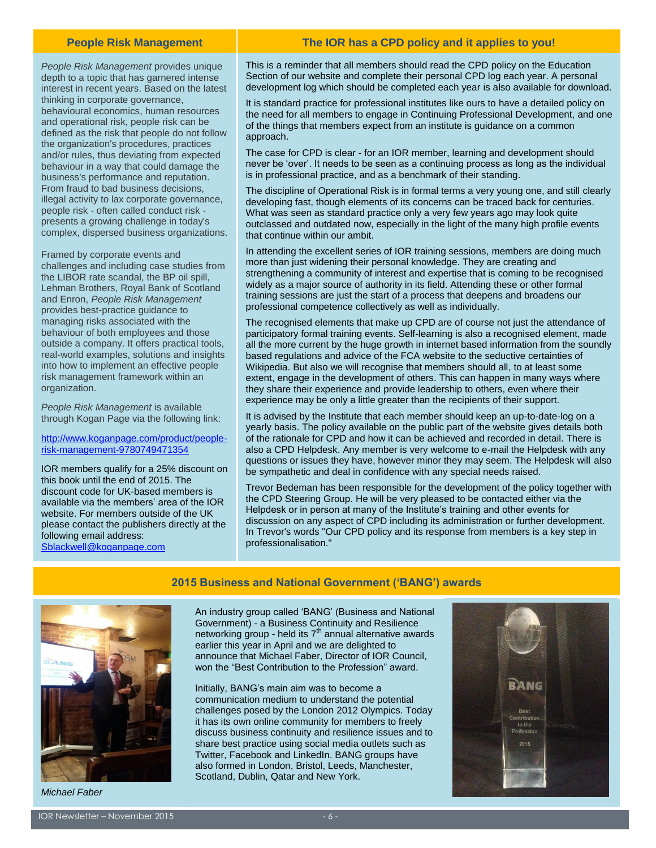#### **People Risk Management**

*People Risk Management* provides unique depth to a topic that has garnered intense interest in recent years. Based on the latest thinking in corporate governance, behavioural economics, human resources and operational risk, people risk can be defined as the risk that people do not follow the organization's procedures, practices and/or rules, thus deviating from expected behaviour in a way that could damage the business's performance and reputation. From fraud to bad business decisions, illegal activity to lax corporate governance, people risk - often called conduct risk presents a growing challenge in today's complex, dispersed business organizations.

Framed by corporate events and challenges and including case studies from the LIBOR rate scandal, the BP oil spill, Lehman Brothers, Royal Bank of Scotland and Enron, *People Risk Management* provides best-practice guidance to managing risks associated with the behaviour of both employees and those outside a company. It offers practical tools, real-world examples, solutions and insights into how to implement an effective people risk management framework within an organization.

*People Risk Management* is available through Kogan Page via the following link:

#### [http://www.koganpage.com/product/people](http://www.koganpage.com/product/people-risk-management-9780749471354)[risk-management-9780749471354](http://www.koganpage.com/product/people-risk-management-9780749471354)

IOR members qualify for a 25% discount on this book until the end of 2015. The discount code for UK-based members is available via the members' area of the IOR website. For members outside of the UK please contact the publishers directly at the following email address:

[Sblackwell@koganpage.com](mailto:Sblackwell@koganpage.com)

#### **The IOR has a CPD policy and it applies to you!**

This is a reminder that all members should read the CPD policy on the Education Section of our website and complete their personal CPD log each year. A personal development log which should be completed each year is also available for download.

It is standard practice for professional institutes like ours to have a detailed policy on the need for all members to engage in Continuing Professional Development, and one of the things that members expect from an institute is guidance on a common approach.

The case for CPD is clear - for an IOR member, learning and development should never be 'over'. It needs to be seen as a continuing process as long as the individual is in professional practice, and as a benchmark of their standing.

The discipline of Operational Risk is in formal terms a very young one, and still clearly developing fast, though elements of its concerns can be traced back for centuries. What was seen as standard practice only a very few years ago may look quite outclassed and outdated now, especially in the light of the many high profile events that continue within our ambit.

In attending the excellent series of IOR training sessions, members are doing much more than just widening their personal knowledge. They are creating and strengthening a community of interest and expertise that is coming to be recognised widely as a major source of authority in its field. Attending these or other formal training sessions are just the start of a process that deepens and broadens our professional competence collectively as well as individually.

The recognised elements that make up CPD are of course not just the attendance of participatory formal training events. Self-learning is also a recognised element, made all the more current by the huge growth in internet based information from the soundly based regulations and advice of the FCA website to the seductive certainties of Wikipedia. But also we will recognise that members should all, to at least some extent, engage in the development of others. This can happen in many ways where they share their experience and provide leadership to others, even where their experience may be only a little greater than the recipients of their support.

It is advised by the Institute that each member should keep an up-to-date-log on a yearly basis. The policy available on the public part of the website gives details both of the rationale for CPD and how it can be achieved and recorded in detail. There is also a CPD Helpdesk. Any member is very welcome to e-mail the Helpdesk with any questions or issues they have, however minor they may seem. The Helpdesk will also be sympathetic and deal in confidence with any special needs raised.

Trevor Bedeman has been responsible for the development of the policy together with the CPD Steering Group. He will be very pleased to be contacted either via the Helpdesk or in person at many of the Institute's training and other events for discussion on any aspect of CPD including its administration or further development. In Trevor's words "Our CPD policy and its response from members is a key step in professionalisation."



*Michael Faber*

#### **2015 Business and National Government ('BANG') awards**

An industry group called 'BANG' (Business and National Government) - a Business Continuity and Resilience networking group - held its  $7<sup>th</sup>$  annual alternative awards earlier this year in April and we are delighted to announce that Michael Faber, Director of IOR Council, won the "Best Contribution to the Profession" award.

Initially, BANG's main aim was to become a communication medium to understand the potential challenges posed by the London 2012 Olympics. Today it has its own online community for members to freely discuss business continuity and resilience issues and to share best practice using social media outlets such as Twitter, Facebook and LinkedIn. BANG groups have also formed in London, Bristol, Leeds, Manchester, Scotland, Dublin, Qatar and New York.

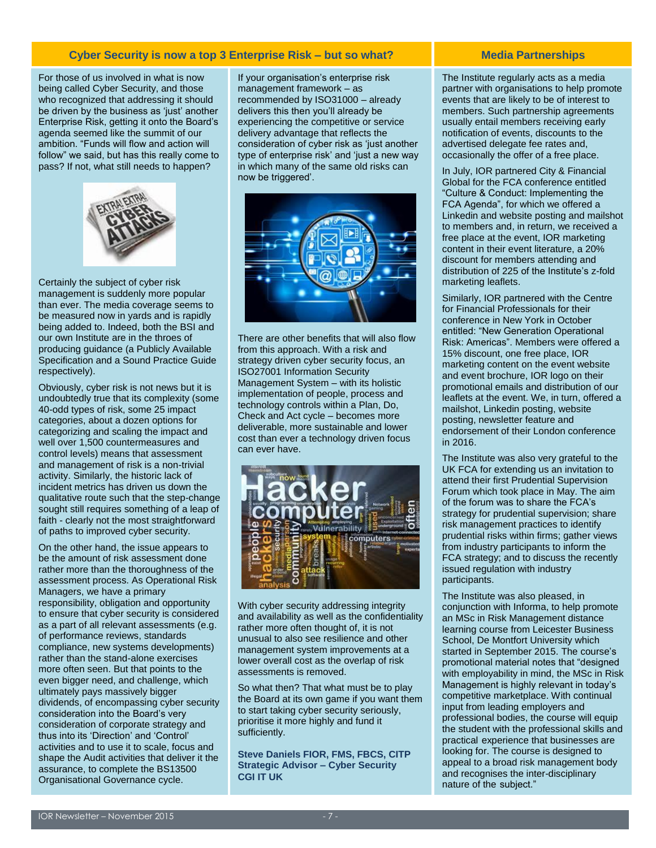### **Cyber Security is now a top 3 Enterprise Risk – but so what?**

For those of us involved in what is now being called Cyber Security, and those who recognized that addressing it should be driven by the business as 'just' another Enterprise Risk, getting it onto the Board's agenda seemed like the summit of our ambition. "Funds will flow and action will follow" we said, but has this really come to pass? If not, what still needs to happen?



Certainly the subject of cyber risk management is suddenly more popular than ever. The media coverage seems to be measured now in yards and is rapidly being added to. Indeed, both the BSI and our own Institute are in the throes of producing guidance (a Publicly Available Specification and a Sound Practice Guide respectively).

Obviously, cyber risk is not news but it is undoubtedly true that its complexity (some 40-odd types of risk, some 25 impact categories, about a dozen options for categorizing and scaling the impact and well over 1,500 countermeasures and control levels) means that assessment and management of risk is a non-trivial activity. Similarly, the historic lack of incident metrics has driven us down the qualitative route such that the step-change sought still requires something of a leap of faith - clearly not the most straightforward of paths to improved cyber security.

On the other hand, the issue appears to be the amount of risk assessment done rather more than the thoroughness of the assessment process. As Operational Risk Managers, we have a primary responsibility, obligation and opportunity to ensure that cyber security is considered as a part of all relevant assessments (e.g. of performance reviews, standards compliance, new systems developments) rather than the stand-alone exercises more often seen. But that points to the even bigger need, and challenge, which ultimately pays massively bigger dividends, of encompassing cyber security consideration into the Board's very consideration of corporate strategy and thus into its 'Direction' and 'Control' activities and to use it to scale, focus and shape the Audit activities that deliver it the assurance, to complete the BS13500 Organisational Governance cycle.

If your organisation's enterprise risk management framework – as recommended by ISO31000 – already delivers this then you'll already be experiencing the competitive or service delivery advantage that reflects the consideration of cyber risk as 'just another type of enterprise risk' and 'just a new way in which many of the same old risks can now be triggered'.



There are other benefits that will also flow from this approach. With a risk and strategy driven cyber security focus, an ISO27001 Information Security Management System – with its holistic implementation of people, process and technology controls within a Plan, Do, Check and Act cycle – becomes more deliverable, more sustainable and lower cost than ever a technology driven focus can ever have.



With cyber security addressing integrity and availability as well as the confidentiality rather more often thought of, it is not unusual to also see resilience and other management system improvements at a lower overall cost as the overlap of risk assessments is removed.

So what then? That what must be to play the Board at its own game if you want them to start taking cyber security seriously, prioritise it more highly and fund it sufficiently.

**Steve Daniels FIOR, FMS, FBCS, CITP Strategic Advisor – Cyber Security CGI IT UK**

## **Media Partnerships**

The Institute regularly acts as a media partner with organisations to help promote events that are likely to be of interest to members. Such partnership agreements usually entail members receiving early notification of events, discounts to the advertised delegate fee rates and, occasionally the offer of a free place.

In July, IOR partnered City & Financial Global for the FCA conference entitled "Culture & Conduct: Implementing the FCA Agenda", for which we offered a Linkedin and website posting and mailshot to members and, in return, we received a free place at the event, IOR marketing content in their event literature, a 20% discount for members attending and distribution of 225 of the Institute's z-fold marketing leaflets.

Similarly, IOR partnered with the Centre for Financial Professionals for their conference in New York in October entitled: "New Generation Operational Risk: Americas". Members were offered a 15% discount, one free place, IOR marketing content on the event website and event brochure, IOR logo on their promotional emails and distribution of our leaflets at the event. We, in turn, offered a mailshot, Linkedin posting, website posting, newsletter feature and endorsement of their London conference in 2016.

The Institute was also very grateful to the UK FCA for extending us an invitation to attend their first Prudential Supervision Forum which took place in May. The aim of the forum was to share the FCA's strategy for prudential supervision; share risk management practices to identify prudential risks within firms; gather views from industry participants to inform the FCA strategy; and to discuss the recently issued regulation with industry participants.

The Institute was also pleased, in conjunction with Informa, to help promote an MSc in Risk Management distance learning course from Leicester Business School, De Montfort University which started in September 2015. The course's promotional material notes that "designed with employability in mind, the MSc in Risk Management is highly relevant in today's competitive marketplace. With continual input from leading employers and professional bodies, the course will equip the student with the professional skills and practical experience that businesses are looking for. The course is designed to appeal to a broad risk management body and recognises the inter-disciplinary nature of the subject."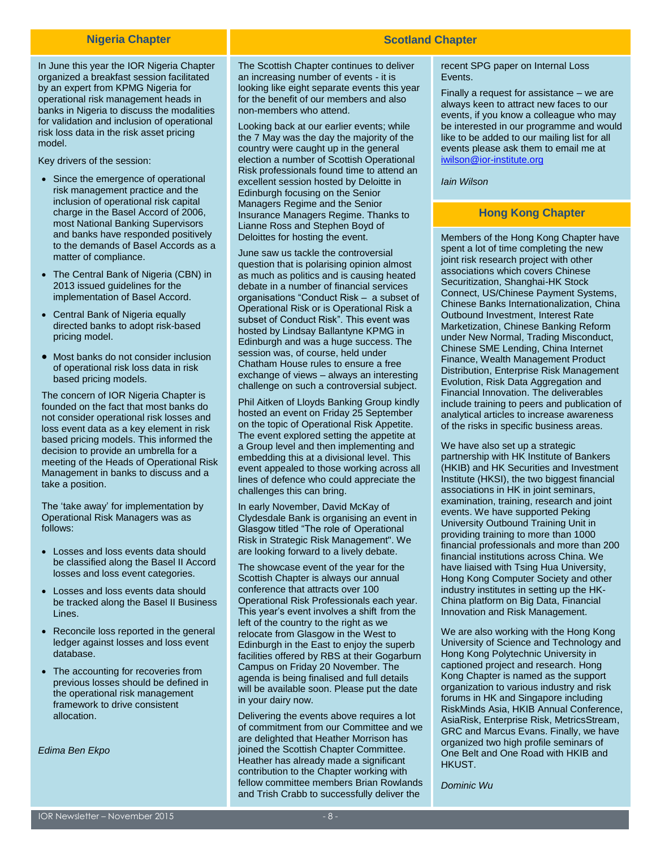#### **Nigeria Chapter**

In June this year the IOR Nigeria Chapter organized a breakfast session facilitated by an expert from KPMG Nigeria for operational risk management heads in banks in Nigeria to discuss the modalities for validation and inclusion of operational risk loss data in the risk asset pricing model.

Key drivers of the session:

- Since the emergence of operational risk management practice and the inclusion of operational risk capital charge in the Basel Accord of 2006, most National Banking Supervisors and banks have responded positively to the demands of Basel Accords as a matter of compliance.
- The Central Bank of Nigeria (CBN) in 2013 issued guidelines for the implementation of Basel Accord.
- Central Bank of Nigeria equally directed banks to adopt risk-based pricing model.
- Most banks do not consider inclusion of operational risk loss data in risk based pricing models.

The concern of IOR Nigeria Chapter is founded on the fact that most banks do not consider operational risk losses and loss event data as a key element in risk based pricing models. This informed the decision to provide an umbrella for a meeting of the Heads of Operational Risk Management in banks to discuss and a take a position.

The 'take away' for implementation by Operational Risk Managers was as follows:

- Losses and loss events data should be classified along the Basel II Accord losses and loss event categories.
- Losses and loss events data should be tracked along the Basel II Business Lines.
- Reconcile loss reported in the general ledger against losses and loss event database.
- The accounting for recoveries from previous losses should be defined in the operational risk management framework to drive consistent allocation.

*Edima Ben Ekpo*

The Scottish Chapter continues to deliver an increasing number of events - it is looking like eight separate events this year for the benefit of our members and also non-members who attend.

Looking back at our earlier events; while the 7 May was the day the majority of the country were caught up in the general election a number of Scottish Operational Risk professionals found time to attend an excellent session hosted by Deloitte in Edinburgh focusing on the Senior Managers Regime and the Senior Insurance Managers Regime. Thanks to Lianne Ross and Stephen Boyd of Deloittes for hosting the event.

June saw us tackle the controversial question that is polarising opinion almost as much as politics and is causing heated debate in a number of financial services organisations "Conduct Risk – a subset of Operational Risk or is Operational Risk a subset of Conduct Risk". This event was hosted by Lindsay Ballantyne KPMG in Edinburgh and was a huge success. The session was, of course, held under Chatham House rules to ensure a free exchange of views – always an interesting challenge on such a controversial subject.

Phil Aitken of Lloyds Banking Group kindly hosted an event on Friday 25 September on the topic of Operational Risk Appetite. The event explored setting the appetite at a Group level and then implementing and embedding this at a divisional level. This event appealed to those working across all lines of defence who could appreciate the challenges this can bring.

In early November, David McKay of Clydesdale Bank is organising an event in Glasgow titled "The role of Operational Risk in Strategic Risk Management". We are looking forward to a lively debate.

The showcase event of the year for the Scottish Chapter is always our annual conference that attracts over 100 Operational Risk Professionals each year. This year's event involves a shift from the left of the country to the right as we relocate from Glasgow in the West to Edinburgh in the East to enjoy the superb facilities offered by RBS at their Gogarburn Campus on Friday 20 November. The agenda is being finalised and full details will be available soon. Please put the date in your dairy now.

Delivering the events above requires a lot of commitment from our Committee and we are delighted that Heather Morrison has joined the Scottish Chapter Committee. Heather has already made a significant contribution to the Chapter working with fellow committee members Brian Rowlands and Trish Crabb to successfully deliver the

### recent SPG paper on Internal Loss Events.

Finally a request for assistance – we are always keen to attract new faces to our events, if you know a colleague who may be interested in our programme and would like to be added to our mailing list for all events please ask them to email me at

[iwilson@ior-institute.org](mailto:iwilson@ior-institute.org)

*Iain Wilson*

**Scotland Chapter**

## **Hong Kong Chapter**

Members of the Hong Kong Chapter have spent a lot of time completing the new joint risk research project with other associations which covers Chinese Securitization, Shanghai-HK Stock Connect, US/Chinese Payment Systems, Chinese Banks Internationalization, China Outbound Investment, Interest Rate Marketization, Chinese Banking Reform under New Normal, Trading Misconduct, Chinese SME Lending, China Internet Finance, Wealth Management Product Distribution, Enterprise Risk Management Evolution, Risk Data Aggregation and Financial Innovation. The deliverables include training to peers and publication of analytical articles to increase awareness of the risks in specific business areas.

We have also set up a strategic partnership with HK Institute of Bankers (HKIB) and HK Securities and Investment Institute (HKSI), the two biggest financial associations in HK in joint seminars, examination, training, research and joint events. We have supported Peking University Outbound Training Unit in providing training to more than 1000 financial professionals and more than 200 financial institutions across China. We have liaised with Tsing Hua University, Hong Kong Computer Society and other industry institutes in setting up the HK-China platform on Big Data, Financial Innovation and Risk Management.

We are also working with the Hong Kong University of Science and Technology and Hong Kong Polytechnic University in captioned project and research. Hong Kong Chapter is named as the support organization to various industry and risk forums in HK and Singapore including RiskMinds Asia, HKIB Annual Conference, AsiaRisk, Enterprise Risk, MetricsStream, GRC and Marcus Evans. Finally, we have organized two high profile seminars of One Belt and One Road with HKIB and **HKUST** 

*Dominic Wu*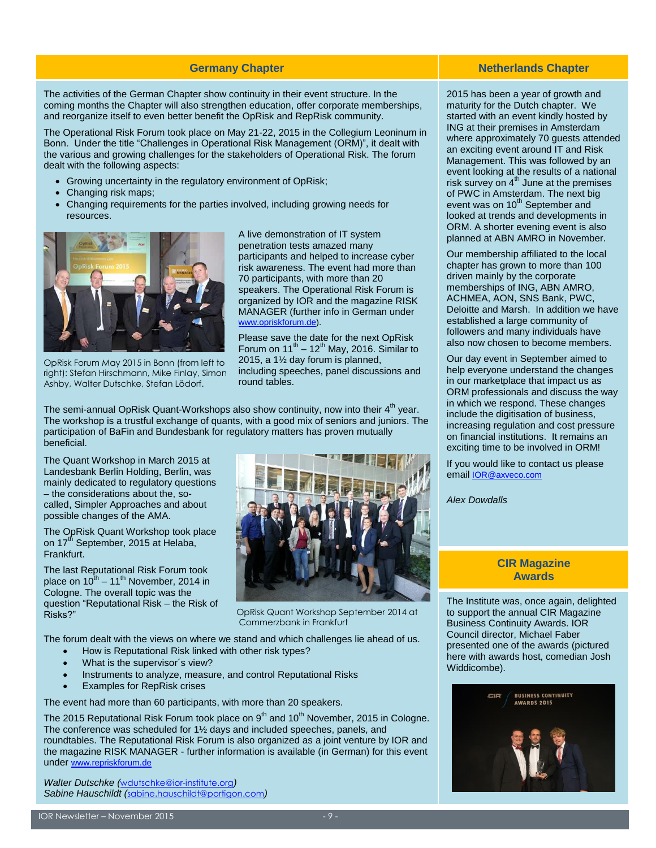The activities of the German Chapter show continuity in their event structure. In the coming months the Chapter will also strengthen education, offer corporate memberships, and reorganize itself to even better benefit the OpRisk and RepRisk community.

The Operational Risk Forum took place on May 21-22, 2015 in the Collegium Leoninum in Bonn. Under the title "Challenges in Operational Risk Management (ORM)", it dealt with the various and growing challenges for the stakeholders of Operational Risk. The forum dealt with the following aspects:

- Growing uncertainty in the regulatory environment of OpRisk;
- Changing risk maps;
- Changing requirements for the parties involved, including growing needs for resources.



OpRisk Forum May 2015 in Bonn (from left to right): Stefan Hirschmann, Mike Finlay, Simon Ashby, Walter Dutschke, Stefan Lödorf.

A live demonstration of IT system penetration tests amazed many participants and helped to increase cyber risk awareness. The event had more than 70 participants, with more than 20 speakers. The Operational Risk Forum is organized by IOR and the magazine RISK MANAGER (further info in German under [www.opriskforum.de\)](http://www.opriskforum.de/).

Please save the date for the next OpRisk Forum on  $11^{th} - 12^{th}$  May, 2016. Similar to 2015, a 1½ day forum is planned, including speeches, panel discussions and round tables.

The semi-annual OpRisk Quant-Workshops also show continuity, now into their  $4<sup>th</sup>$  year. The workshop is a trustful exchange of quants, with a good mix of seniors and juniors. The participation of BaFin and Bundesbank for regulatory matters has proven mutually beneficial.

The Quant Workshop in March 2015 at Landesbank Berlin Holding, Berlin, was mainly dedicated to regulatory questions – the considerations about the, socalled, Simpler Approaches and about possible changes of the AMA.

The OpRisk Quant Workshop took place on  $17<sup>th</sup>$  September, 2015 at Helaba, Frankfurt.

The last Reputational Risk Forum took place on 10<sup>th</sup> – 11<sup>th</sup> November, 2014 in Cologne. The overall topic was the question "Reputational Risk – the Risk of Risks?"



OpRisk Quant Workshop September 2014 at Commerzbank in Frankfurt

The forum dealt with the views on where we stand and which challenges lie ahead of us.

- How is Reputational Risk linked with other risk types?
- What is the supervisor's view?
- Instruments to analyze, measure, and control Reputational Risks
- Examples for RepRisk crises

The event had more than 60 participants, with more than 20 speakers.

The 2015 Reputational Risk Forum took place on  $9<sup>th</sup>$  and 10<sup>th</sup> November, 2015 in Cologne. The conference was scheduled for 1½ days and included speeches, panels, and roundtables. The Reputational Risk Forum is also organized as a joint venture by IOR and the magazine RISK MANAGER - further information is available (in German) for this event under [www.repriskforum.de](http://www.repriskforum.de/)

*Walter Dutschke (*wdutschke@ior-institute.org*) Sabine Hauschildt (*sabine.hauschildt@portigon.com*)*

#### **Germany Chapter Netherlands Chapter Netherlands Chapter**

2015 has been a year of growth and maturity for the Dutch chapter. We started with an event kindly hosted by ING at their premises in Amsterdam where approximately 70 guests attended an exciting event around IT and Risk Management. This was followed by an event looking at the results of a national risk survey on  $4^{\text{th}}$  June at the premises of PWC in Amsterdam. The next big event was on 10<sup>th</sup> September and looked at trends and developments in ORM. A shorter evening event is also planned at ABN AMRO in November.

Our membership affiliated to the local chapter has grown to more than 100 driven mainly by the corporate memberships of ING, ABN AMRO, ACHMEA, AON, SNS Bank, PWC, Deloitte and Marsh. In addition we have established a large community of followers and many individuals have also now chosen to become members.

Our day event in September aimed to help everyone understand the changes in our marketplace that impact us as ORM professionals and discuss the way in which we respond. These changes include the digitisation of business, increasing regulation and cost pressure on financial institutions. It remains an exciting time to be involved in ORM!

If you would like to contact us please email [IOR@axveco.com](mailto:IOR@axveco.com)

*Alex Dowdalls*

#### **CIR Magazine Awards**

The Institute was, once again, delighted to support the annual CIR Magazine Business Continuity Awards. IOR Council director, Michael Faber presented one of the awards (pictured here with awards host, comedian Josh Widdicombe).